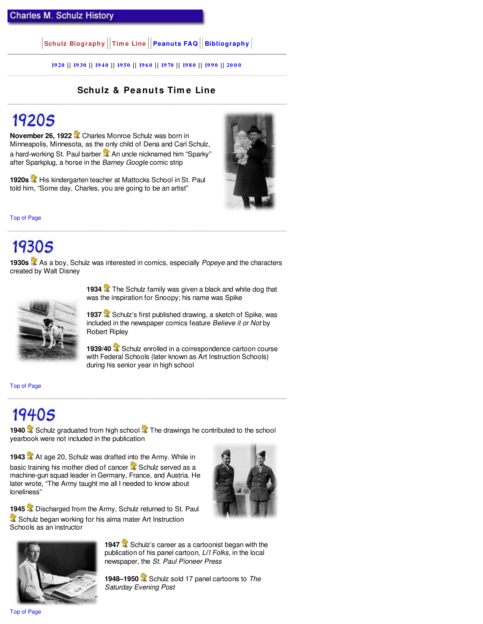$|\textbf{Schutz Biography}||\textbf{Time Line}||\textbf{Peanuts FAQ}||\textbf{Bibliography}|$ 

**19 20 | | 19 30 | | 19 4 0 | | 19 50 | | 19 6 0 | | 19 70 | | 19 8 0 | | 19 9 0 | | 20 0 0**

#### **Schulz & Peanuts Tim e Line**

#### 19205

**November 26, 1922** Charles Monroe Schulz was born in Minneapolis, Minnesota, as the only child of Dena and Carl Schulz, a hard-working St. Paul barber **A** An uncle nicknamed him "Sparky" after Sparkplug, a horse in the *Barney Google* comic strip

**1920s** His kindergarten teacher at Mattocks School in St. Paul told him, "Some day, Charles, you are going to be an artist"



Top of Page

### 19305

**1930s** As a boy, Schulz was interested in comics, especially *Popeye* and the characters created by Walt Disney



**1934** The Schulz family was given a black and white dog that was the inspiration for Snoopy; his name was Spike

**1937** Schulz's first published drawing, a sketch of Spike, was included in the newspaper comics feature *Believe it or Not* by Robert Ripley

**1939/40** Schulz enrolled in a correspondence cartoon course with Federal Schools (later known as Art Instruction Schools) during his senior year in high school

Top of Page

### $19405$

**1940** Schulz graduated from high school The drawings he contributed to the school yearbook were not included in the publication

**1943** At age 20, Schulz was drafted into the Army. While in basic training his mother died of cancer  $\mathbb Z$  Schulz served as a machine-gun squad leader in Germany, France, and Austria. He later wrote, "The Army taught me all I needed to know about loneliness"



**1945** Discharged from the Army, Schulz returned to St. Paul Schulz began working for his alma mater Art Instruction Schools as an instructor



**1947** Schulz's career as a cartoonist began with the publication of his panel cartoon, *Li'l Folks*, in the local newspaper, the *St. Paul Pioneer Press*

**1948–1950** Schulz sold 17 panel cartoons to *The Saturday Evening Post*

Top of Page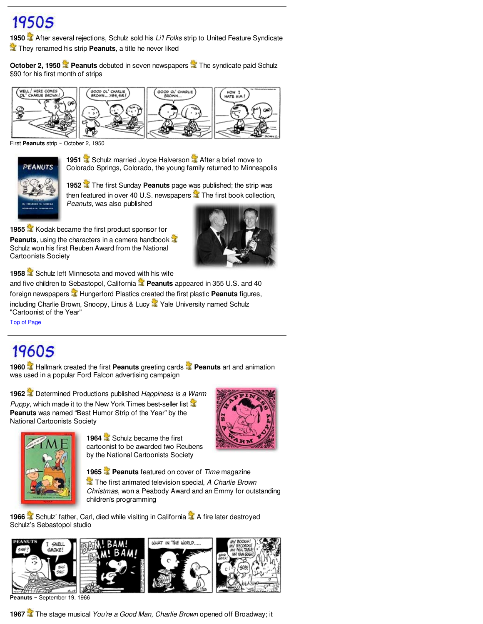# 19505

**1950** After several rejections, Schulz sold his *Li'l Folks* strip to United Feature Syndicate **They renamed his strip Peanuts**, a title he never liked

**October 2, 1950 <b>Peanuts** debuted in seven newspapers The syndicate paid Schulz \$90 for his first month of strips



First **Peanuts** strip ~ October 2, 1950



**1951** Schulz married Joyce Halverson **A** After a brief move to Colorado Springs, Colorado, the young family returned to Minneapolis

**1952** The first Sunday **Peanuts** page was published; the strip was then featured in over 40 U.S. newspapers  $\mathbb{R}$  The first book collection, *Peanuts*, was also published

**1955** Kodak became the first product sponsor for **Peanuts**, using the characters in a camera handbook Schulz won his first Reuben Award from the National Cartoonists Society



1958 **Schulz left Minnesota and moved with his wife** 

and five children to Sebastopol, California **Peanuts** appeared in 355 U.S. and 40 foreign newspapers<sup>3</sup> Hungerford Plastics created the first plastic Peanuts figures, including Charlie Brown, Snoopy, Linus & Lucy Yale University named Schulz "Cartoonist of the Year"

Top of Page

# 19605

**1960** Hallmark created the first **Peanuts** greeting cards **Peanuts** art and animation was used in a popular Ford Falcon advertising campaign

**1962** Determined Productions published *Happiness is a Warm Puppy*, which made it to the New York Times best-seller list **3** 







**1965 Peanuts** featured on cover of *Time* magazine

 The first animated television special, *A Charlie Brown Christmas*, won a Peabody Award and an Emmy for outstanding children's programming

**1966** Schulz' father, Carl, died while visiting in California **A** A fire later destroyed Schulz's Sebastopol studio



**Peanuts** ~ September 19, 1966

**1967** The stage musical *You're a Good Man, Charlie Brown* opened off Broadway; it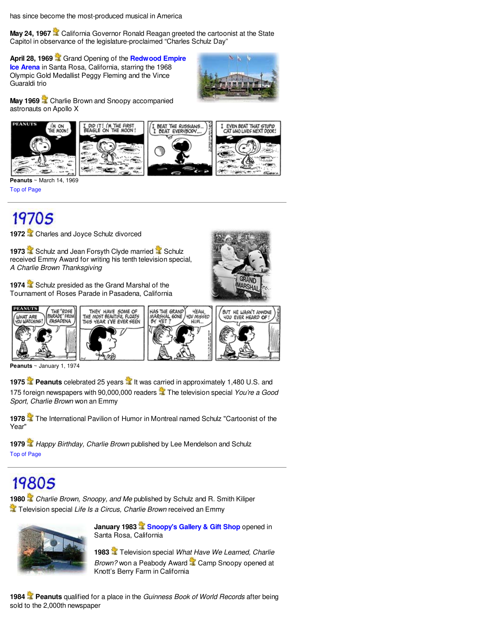has since become the most-produced musical in America

May 24, 1967 **C** California Governor Ronald Reagan greeted the cartoonist at the State Capitol in observance of the legislature-proclaimed "Charles Schulz Day"

**April 28, 1969** Grand Opening of the **Redwood Empire Ice Arena** in Santa Rosa, California, starring the 1968 Olympic Gold Medallist Peggy Fleming and the Vince Guaraldi trio



**May 1969** Charlie Brown and Snoopy accompanied astronauts on Apollo X



**Peanuts** ~ March 14, 1969 Top of Page

# 19705

**1972** Charles and Joyce Schulz divorced

**1973** Schulz and Jean Forsyth Clyde married **Schulz** received Emmy Award for writing his tenth television special, *A Charlie Brown Thanksgiving*





**Peanuts** ~ January 1, 1974

**1975 Peanuts** celebrated 25 years **I**t was carried in approximately 1,480 U.S. and 175 foreign newspapers with 90,000,000 readers The television special *You're a Good Sport, Charlie Brown* won an Emmy

**1978** The International Pavilion of Humor in Montreal named Schulz "Cartoonist of the Year"

**1979** *Happy Birthday, Charlie Brown* published by Lee Mendelson and Schulz Top of Page

# **19805**

**1980** *Charlie Brown, Snoopy, and Me* published by Schulz and R. Smith Kiliper **The Television special** *Life Is a Circus, Charlie Brown* **received an Emmy** 



**January 1983 Snoopy's Gallery & Gift Shop** opened in Santa Rosa, California

**1983** Television special *What Have We Learned, Charlie Brown?* won a Peabody Award <sup>2</sup> Camp Snoopy opened at Knott's Berry Farm in California

**1984 Peanuts** qualified for a place in the *Guinness Book of World Records* after being sold to the 2,000th newspaper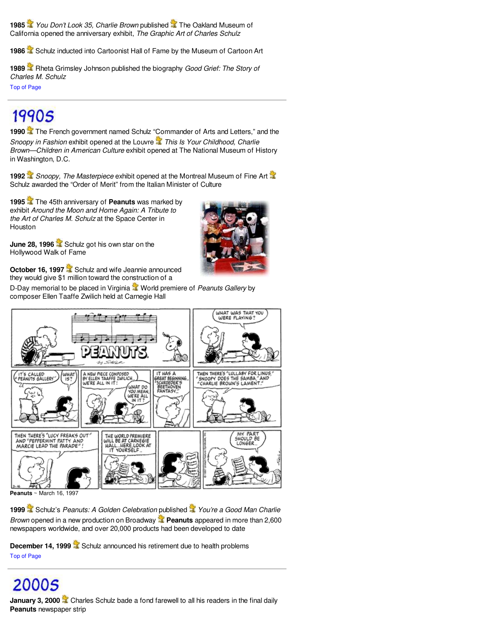**1985** *You Don't Look 35, Charlie Brown* published **The Oakland Museum of** California opened the anniversary exhibit, *The Graphic Art of Charles Schulz*

1986 Schulz inducted into Cartoonist Hall of Fame by the Museum of Cartoon Art

**1989** Rheta Grimsley Johnson published the biography *Good Grief: The Story of Charles M. Schulz* Top of Page

#### **19905**

**1990** The French government named Schulz "Commander of Arts and Letters," and the *Snoopy in Fashion exhibit opened at the Louvre* **This Is Your Childhood, Charlie** *Brown—Children in American Culture* exhibit opened at The National Museum of History in Washington, D.C.

**1992** *Snoopy, The Masterpiece* exhibit opened at the Montreal Museum of Fine Art Schulz awarded the "Order of Merit" from the Italian Minister of Culture

**1995** The 45th anniversary of **Peanuts** was marked by exhibit *Around the Moon and Home Again: A Tribute to the Art of Charles M. Schulz* at the Space Center in **Houston** 



**June 28, 1996** Schulz got his own star on the Hollywood Walk of Fame

October 16, 1997<sup>2</sup> Schulz and wife Jeannie announced they would give \$1 million toward the construction of a

D-Day memorial to be placed in Virginia **W** World premiere of *Peanuts Gallery* by composer Ellen Taaffe Zwilich held at Carnegie Hall



**Peanuts** ~ March 16, 1997

**1999** Schulz's *Peanuts: A Golden Celebration* published *You're a Good Man Charlie Brown* opened in a new production on Broadway **Peanuts** appeared in more than 2,600 newspapers worldwide, and over 20,000 products had been developed to date

**December 14, 1999** Schulz announced his retirement due to health problems Top of Page